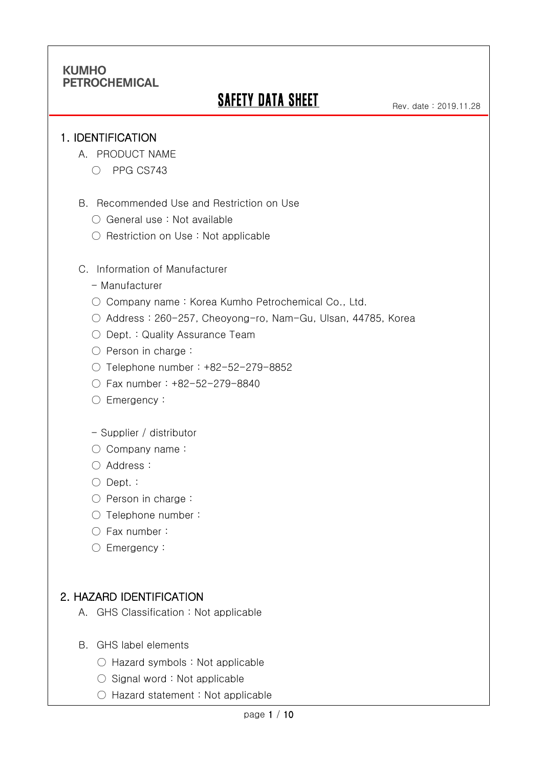# **SAFETY DATA SHEET**

#### 1. IDENTIFICATION

Ī

- A. PRODUCT NAME
	- PPG CS743
- B. Recommended Use and Restriction on Use
	- General use : Not available
	- Restriction on Use : Not applicable
- C. Information of Manufacturer
	- Manufacturer
	- Company name: Korea Kumho Petrochemical Co., Ltd.
	- Address : 260-257, Cheoyong-ro, Nam-Gu, Ulsan, 44785, Korea
	- Dept. : Quality Assurance Team
	- Person in charge :
	- Telephone number : +82-52-279-8852
	- Fax number : +82-52-279-8840
	- Emergency:
	- Supplier / distributor
	- Company name:
	- Address :
	- Dept. :
	- Person in charge :
	- Telephone number :
	- Fax number :
	- Emergency:

### 2. HAZARD IDENTIFICATION

- A. GHS Classification : Not applicable
- B. GHS label elements
	- Hazard symbols : Not applicable
	- Signal word : Not applicable
	- Hazard statement : Not applicable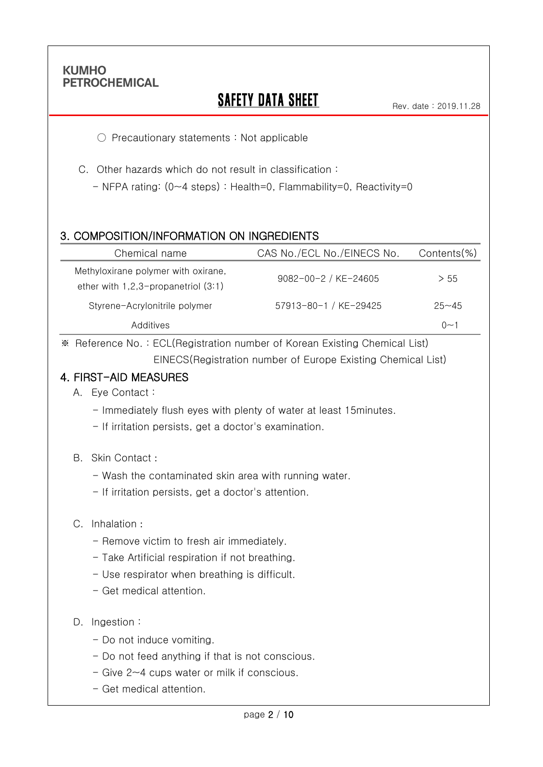Ī

# **SAFETY DATA SHEET**

○ Precautionary statements : Not applicable

- C. Other hazards which do not result in classification :
	- NFPA rating: (0~4 steps) : Health=0, Flammability=0, Reactivity=0

### 3. COMPOSITION/INFORMATION ON INGREDIENTS

| Chemical name                                                              | CAS No./ECL No./EINECS No. | $Contents$ %)     |
|----------------------------------------------------------------------------|----------------------------|-------------------|
| Methyloxirane polymer with oxirane,<br>ether with 1,2,3-propanetriol (3:1) | 9082-00-2 / KE-24605       | > 55              |
| Styrene-Acrylonitrile polymer                                              | 57913-80-1 / KE-29425      | $25 - 45$         |
| Additives                                                                  |                            | $\Omega$ $\sim$ 1 |

※ Reference No. : ECL(Registration number of Korean Existing Chemical List) EINECS(Registration number of Europe Existing Chemical List)

### 4. FIRST-AID MEASURES

- A. Eye Contact :
	- Immediately flush eyes with plenty of water at least 15minutes.
	- If irritation persists, get a doctor's examination.
- B. Skin Contact :
	- Wash the contaminated skin area with running water.
	- If irritation persists, get a doctor's attention.

#### C. Inhalation :

- Remove victim to fresh air immediately.
- Take Artificial respiration if not breathing.
- Use respirator when breathing is difficult.
- Get medical attention.

#### D. Ingestion :

- Do not induce vomiting.
- Do not feed anything if that is not conscious.
- Give 2~4 cups water or milk if conscious.
- Get medical attention.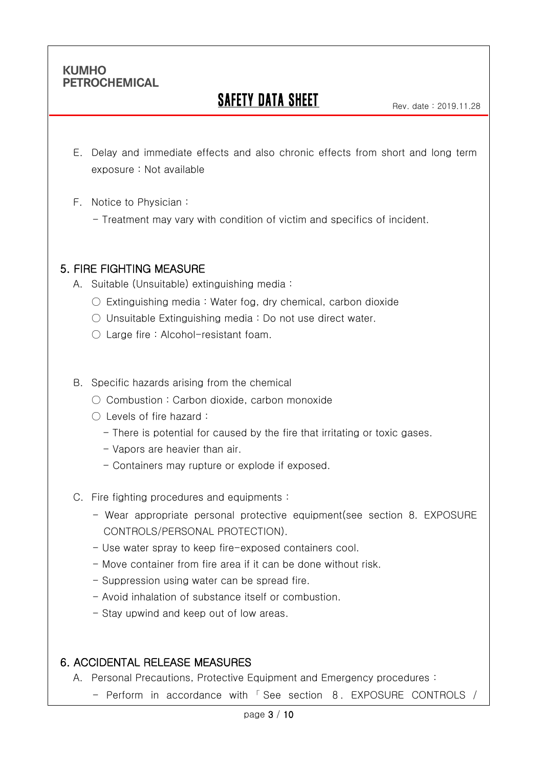Ī

# SAFETY DATA SHEET

- E. Delay and immediate effects and also chronic effects from short and long term exposure : Not available
- F. Notice to Physician :
	- Treatment may vary with condition of victim and specifics of incident.

## 5. FIRE FIGHTING MEASURE

A. Suitable (Unsuitable) extinguishing media :

- $\circ$  Extinguishing media : Water fog, dry chemical, carbon dioxide
- Unsuitable Extinguishing media : Do not use direct water.
- $\bigcirc$  Large fire : Alcohol-resistant foam.

#### B. Specific hazards arising from the chemical

- Combustion: Carbon dioxide, carbon monoxide
- Levels of fire hazard :
	- There is potential for caused by the fire that irritating or toxic gases.
	- Vapors are heavier than air.
	- Containers may rupture or explode if exposed.
- C. Fire fighting procedures and equipments :
	- Wear appropriate personal protective equipment(see section 8. EXPOSURE CONTROLS/PERSONAL PROTECTION).
	- Use water spray to keep fire-exposed containers cool.
	- Move container from fire area if it can be done without risk.
	- Suppression using water can be spread fire.
	- Avoid inhalation of substance itself or combustion.
	- Stay upwind and keep out of low areas.

## 6. ACCIDENTAL RELEASE MEASURES

- A. Personal Precautions, Protective Equipment and Emergency procedures :
	- Perform in accordance with 「 See section 8. EXPOSURE CONTROLS /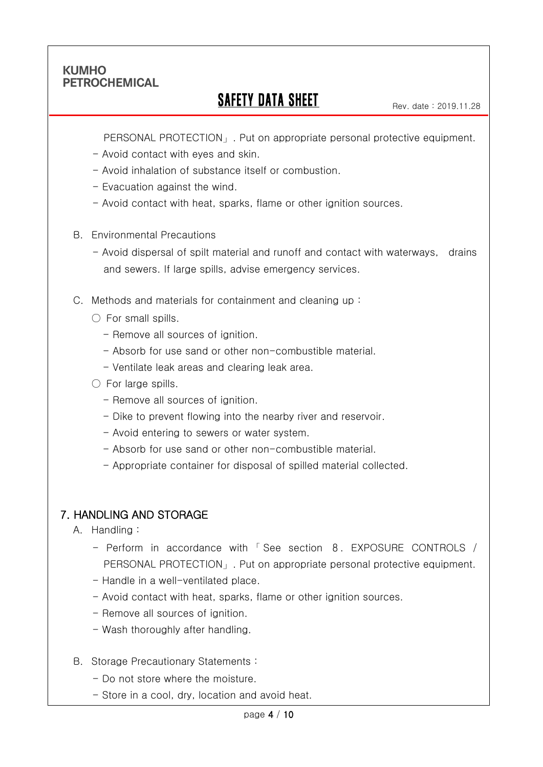Ī

## **SAFETY DATA SHEET**

PERSONAL PROTECTION」. Put on appropriate personal protective equipment.

- Avoid contact with eyes and skin.
- Avoid inhalation of substance itself or combustion.
- Evacuation against the wind.
- Avoid contact with heat, sparks, flame or other ignition sources.
- B. Environmental Precautions
	- Avoid dispersal of spilt material and runoff and contact with waterways, drains and sewers. If large spills, advise emergency services.
- C. Methods and materials for containment and cleaning up :
	- $\bigcirc$  For small spills.
		- Remove all sources of ignition.
		- Absorb for use sand or other non-combustible material.
		- Ventilate leak areas and clearing leak area.
	- $\circlearrowright$  For large spills.
		- Remove all sources of ignition.
		- Dike to prevent flowing into the nearby river and reservoir.
		- Avoid entering to sewers or water system.
		- Absorb for use sand or other non-combustible material.
		- Appropriate container for disposal of spilled material collected.

## 7. HANDLING AND STORAGE

- A. Handling :
	- Perform in accordance with 「 See section 8. EXPOSURE CONTROLS / PERSONAL PROTECTION」. Put on appropriate personal protective equipment.
	- Handle in a well-ventilated place.
	- Avoid contact with heat, sparks, flame or other ignition sources.
	- Remove all sources of ignition.
	- Wash thoroughly after handling.
- B. Storage Precautionary Statements :
	- Do not store where the moisture.
	- Store in a cool, dry, location and avoid heat.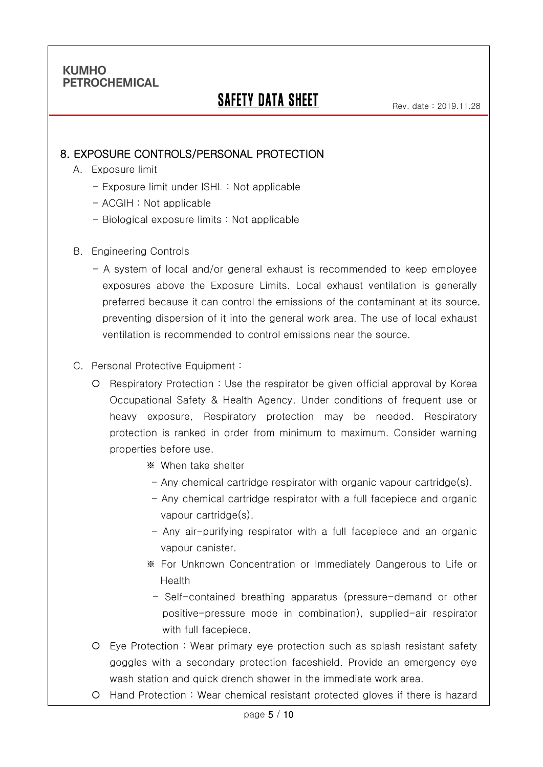Ī

# SAFETY DATA SHEET

Rev. date : 2019.11.28

### 8. EXPOSURE CONTROLS/PERSONAL PROTECTION

- A. Exposure limit
	- Exposure limit under ISHL : Not applicable
	- ACGIH : Not applicable
	- Biological exposure limits : Not applicable
- B. Engineering Controls
	- A system of local and/or general exhaust is recommended to keep employee exposures above the Exposure Limits. Local exhaust ventilation is generally preferred because it can control the emissions of the contaminant at its source, preventing dispersion of it into the general work area. The use of local exhaust ventilation is recommended to control emissions near the source.

#### C. Personal Protective Equipment :

- O Respiratory Protection : Use the respirator be given official approval by Korea Occupational Safety & Health Agency. Under conditions of frequent use or heavy exposure, Respiratory protection may be needed. Respiratory protection is ranked in order from minimum to maximum. Consider warning properties before use.
	- ※ When take shelter
	- Any chemical cartridge respirator with organic vapour cartridge(s).
	- Any chemical cartridge respirator with a full facepiece and organic vapour cartridge(s).
	- Any air-purifying respirator with a full facepiece and an organic vapour canister.
	- ※ For Unknown Concentration or Immediately Dangerous to Life or Health
		- Self-contained breathing apparatus (pressure-demand or other positive-pressure mode in combination), supplied-air respirator with full facepiece.
- Eye Protection : Wear primary eye protection such as splash resistant safety goggles with a secondary protection faceshield. Provide an emergency eye wash station and quick drench shower in the immediate work area.
- Hand Protection : Wear chemical resistant protected gloves if there is hazard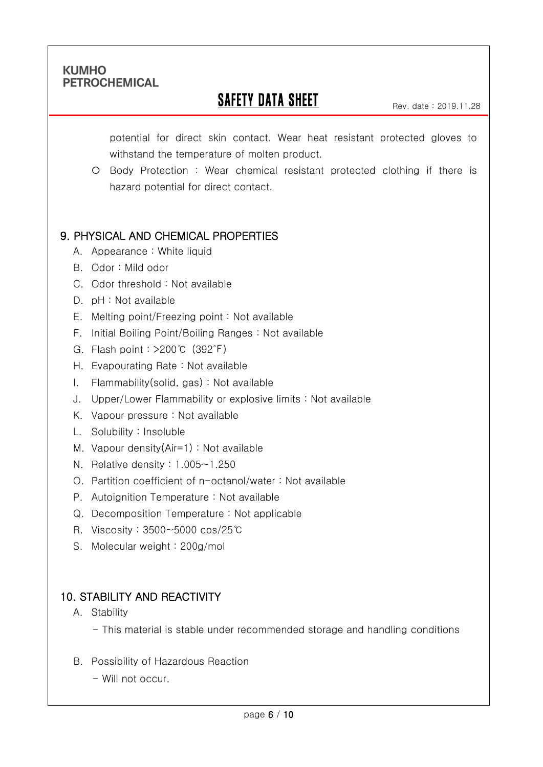Ī

## **SAFETY DATA SHEET**

Rev. date : 2019.11.28

potential for direct skin contact. Wear heat resistant protected gloves to withstand the temperature of molten product.

 Body Protection : Wear chemical resistant protected clothing if there is hazard potential for direct contact.

## 9. PHYSICAL AND CHEMICAL PROPERTIES

- A. Appearance : White liquid
- B. Odor : Mild odor
- C. Odor threshold : Not available
- D. pH : Not available
- E. Melting point/Freezing point : Not available
- F. Initial Boiling Point/Boiling Ranges : Not available
- G. Flash point : >200℃ (392℉)
- H. Evapourating Rate : Not available
- I. Flammability(solid, gas) : Not available
- J. Upper/Lower Flammability or explosive limits : Not available
- K. Vapour pressure : Not available
- L. Solubility : Insoluble
- M. Vapour density(Air=1) : Not available
- N. Relative density : 1.005~1.250
- O. Partition coefficient of n-octanol/water : Not available
- P. Autoignition Temperature : Not available
- Q. Decomposition Temperature : Not applicable
- R. Viscosity : 3500~5000 cps/25℃
- S. Molecular weight : 200g/mol

## 10. STABILITY AND REACTIVITY

- A. Stability
	- This material is stable under recommended storage and handling conditions
- B. Possibility of Hazardous Reaction
	- Will not occur.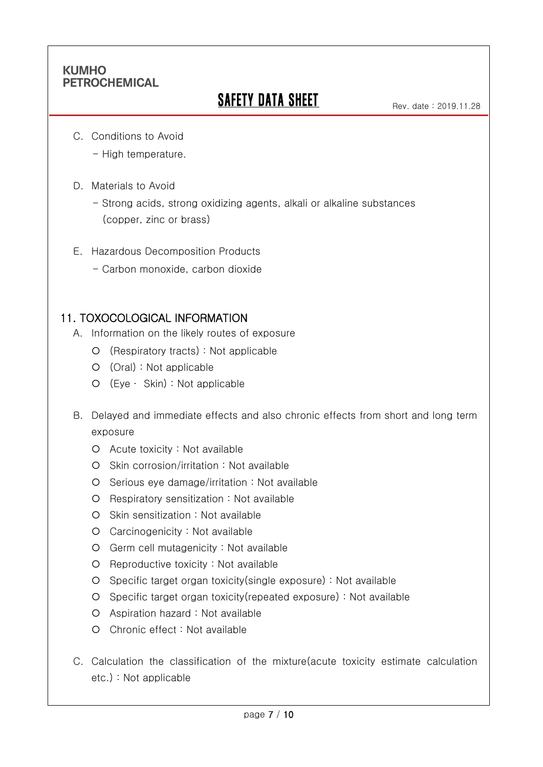Ī

# **SAFETY DATA SHEET**

C. Conditions to Avoid

- High temperature.

D. Materials to Avoid

- Strong acids, strong oxidizing agents, alkali or alkaline substances (copper, zinc or brass)

- E. Hazardous Decomposition Products
	- Carbon monoxide, carbon dioxide

#### 11. TOXOCOLOGICAL INFORMATION

- A. Information on the likely routes of exposure
	- (Respiratory tracts) : Not applicable
	- (Oral) : Not applicable
	- (Eye ∙ Skin) : Not applicable
- B. Delayed and immediate effects and also chronic effects from short and long term exposure
	- Acute toxicity : Not available
	- O Skin corrosion/irritation : Not available
	- Serious eye damage/irritation : Not available
	- Respiratory sensitization : Not available
	- $O$  Skin sensitization : Not available
	- Carcinogenicity : Not available
	- Germ cell mutagenicity : Not available
	- O Reproductive toxicity : Not available
	- Specific target organ toxicity(single exposure) : Not available
	- Specific target organ toxicity(repeated exposure) : Not available
	- Aspiration hazard : Not available
	- Chronic effect : Not available
- C. Calculation the classification of the mixture(acute toxicity estimate calculation etc.) : Not applicable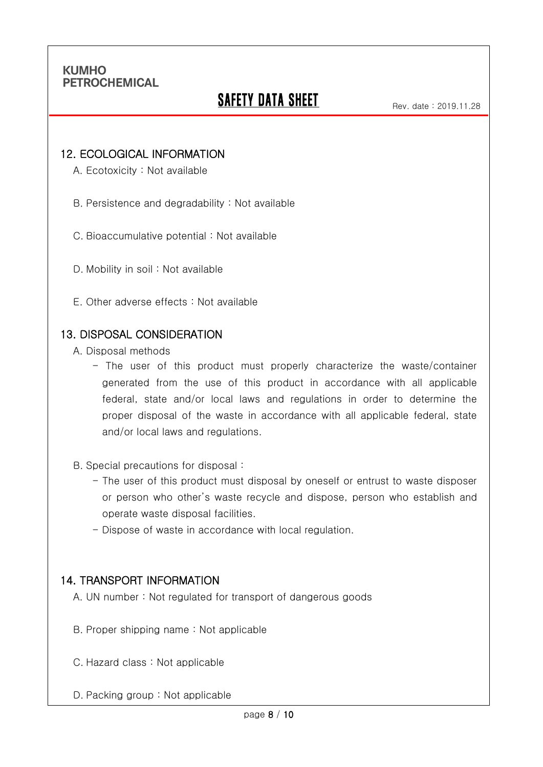Ī

# **SAFETY DATA SHEET**

#### 12. ECOLOGICAL INFORMATION

A. Ecotoxicity : Not available

B. Persistence and degradability : Not available

C. Bioaccumulative potential : Not available

- D. Mobility in soil : Not available
- E. Other adverse effects : Not available

#### 13. DISPOSAL CONSIDERATION

A. Disposal methods

- The user of this product must properly characterize the waste/container generated from the use of this product in accordance with all applicable federal, state and/or local laws and regulations in order to determine the proper disposal of the waste in accordance with all applicable federal, state and/or local laws and regulations.
- B. Special precautions for disposal :
	- The user of this product must disposal by oneself or entrust to waste disposer or person who other's waste recycle and dispose, person who establish and operate waste disposal facilities.
	- Dispose of waste in accordance with local regulation.

### 14. TRANSPORT INFORMATION

A. UN number : Not regulated for transport of dangerous goods

- B. Proper shipping name : Not applicable
- C. Hazard class : Not applicable
- D. Packing group : Not applicable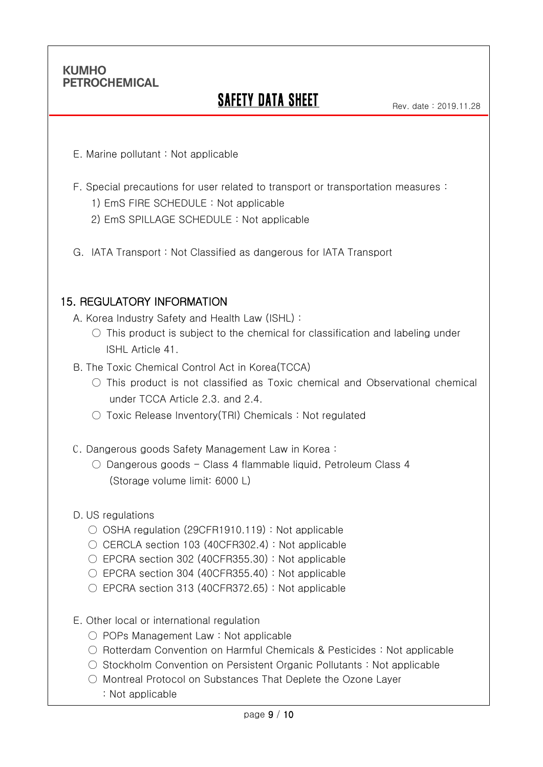Ī

# SAFETY DATA SHEET

- E. Marine pollutant : Not applicable
- F. Special precautions for user related to transport or transportation measures :
	- 1) EmS FIRE SCHEDULE : Not applicable
	- 2) EmS SPILLAGE SCHEDULE : Not applicable
- G. IATA Transport : Not Classified as dangerous for IATA Transport

#### 15. REGULATORY INFORMATION

- A. Korea Industry Safety and Health Law (ISHL) :
	- $\circ$  This product is subject to the chemical for classification and labeling under ISHL Article 41.
- B. The Toxic Chemical Control Act in Korea(TCCA)
	- This product is not classified as Toxic chemical and Observational chemical under TCCA Article 2.3. and 2.4.
	- Toxic Release Inventory(TRI) Chemicals : Not regulated
- C. Dangerous goods Safety Management Law in Korea :
	- Dangerous goods Class 4 flammable liquid, Petroleum Class 4 (Storage volume limit: 6000 L)
- D. US regulations
	- OSHA regulation (29CFR1910.119) : Not applicable
	- CERCLA section 103 (40CFR302.4): Not applicable
	- $\circ$  EPCRA section 302 (40CFR355.30) : Not applicable
	- EPCRA section 304 (40CFR355.40) : Not applicable
	- EPCRA section 313 (40CFR372.65): Not applicable
- E. Other local or international regulation
	- POPs Management Law : Not applicable
	- Rotterdam Convention on Harmful Chemicals & Pesticides : Not applicable
	- Stockholm Convention on Persistent Organic Pollutants : Not applicable
	- Montreal Protocol on Substances That Deplete the Ozone Layer
		- : Not applicable